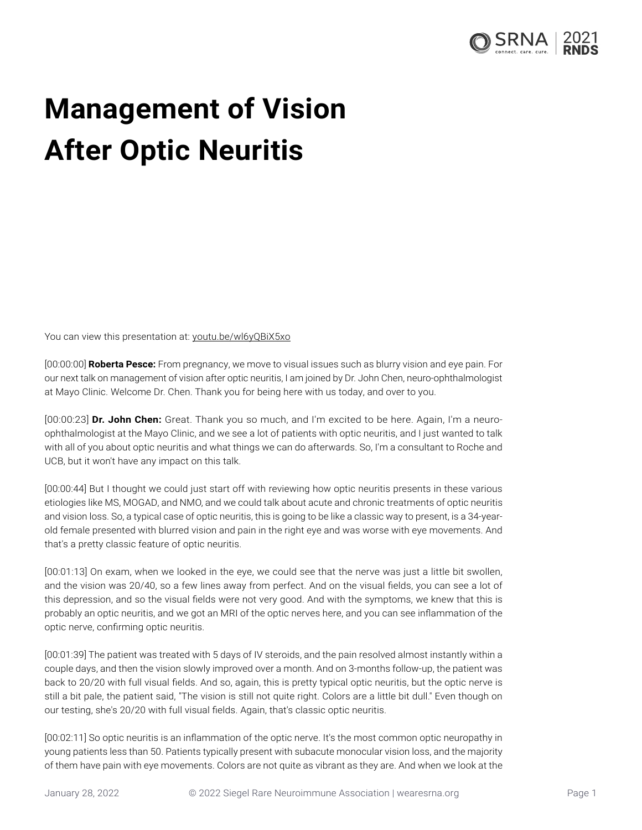

## **Management of Vision After Optic Neuritis**

You can view this presentation at: [youtu.be/wl6yQBiX5xo](https://youtu.be/wl6yQBiX5xo)

[00:00:00] **Roberta Pesce:** From pregnancy, we move to visual issues such as blurry vision and eye pain. For our next talk on management of vision after optic neuritis, I am joined by Dr. John Chen, neuro-ophthalmologist at Mayo Clinic. Welcome Dr. Chen. Thank you for being here with us today, and over to you.

[00:00:23] **Dr. John Chen:** Great. Thank you so much, and I'm excited to be here. Again, I'm a neuroophthalmologist at the Mayo Clinic, and we see a lot of patients with optic neuritis, and I just wanted to talk with all of you about optic neuritis and what things we can do afterwards. So, I'm a consultant to Roche and UCB, but it won't have any impact on this talk.

[00:00:44] But I thought we could just start off with reviewing how optic neuritis presents in these various etiologies like MS, MOGAD, and NMO, and we could talk about acute and chronic treatments of optic neuritis and vision loss. So, a typical case of optic neuritis, this is going to be like a classic way to present, is a 34-yearold female presented with blurred vision and pain in the right eye and was worse with eye movements. And that's a pretty classic feature of optic neuritis.

[00:01:13] On exam, when we looked in the eye, we could see that the nerve was just a little bit swollen, and the vision was 20/40, so a few lines away from perfect. And on the visual fields, you can see a lot of this depression, and so the visual fields were not very good. And with the symptoms, we knew that this is probably an optic neuritis, and we got an MRI of the optic nerves here, and you can see inflammation of the optic nerve, confirming optic neuritis.

[00:01:39] The patient was treated with 5 days of IV steroids, and the pain resolved almost instantly within a couple days, and then the vision slowly improved over a month. And on 3-months follow-up, the patient was back to 20/20 with full visual fields. And so, again, this is pretty typical optic neuritis, but the optic nerve is still a bit pale, the patient said, "The vision is still not quite right. Colors are a little bit dull." Even though on our testing, she's 20/20 with full visual fields. Again, that's classic optic neuritis.

[00:02:11] So optic neuritis is an inflammation of the optic nerve. It's the most common optic neuropathy in young patients less than 50. Patients typically present with subacute monocular vision loss, and the majority of them have pain with eye movements. Colors are not quite as vibrant as they are. And when we look at the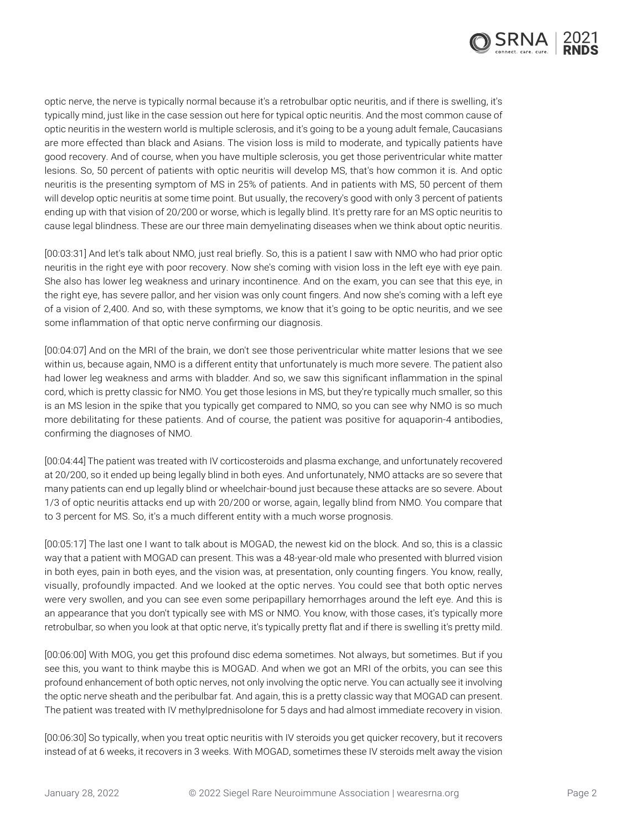

optic nerve, the nerve is typically normal because it's a retrobulbar optic neuritis, and if there is swelling, it's typically mind, just like in the case session out here for typical optic neuritis. And the most common cause of optic neuritis in the western world is multiple sclerosis, and it's going to be a young adult female, Caucasians are more effected than black and Asians. The vision loss is mild to moderate, and typically patients have good recovery. And of course, when you have multiple sclerosis, you get those periventricular white matter lesions. So, 50 percent of patients with optic neuritis will develop MS, that's how common it is. And optic neuritis is the presenting symptom of MS in 25% of patients. And in patients with MS, 50 percent of them will develop optic neuritis at some time point. But usually, the recovery's good with only 3 percent of patients ending up with that vision of 20/200 or worse, which is legally blind. It's pretty rare for an MS optic neuritis to cause legal blindness. These are our three main demyelinating diseases when we think about optic neuritis.

[00:03:31] And let's talk about NMO, just real briefly. So, this is a patient I saw with NMO who had prior optic neuritis in the right eye with poor recovery. Now she's coming with vision loss in the left eye with eye pain. She also has lower leg weakness and urinary incontinence. And on the exam, you can see that this eye, in the right eye, has severe pallor, and her vision was only count fingers. And now she's coming with a left eye of a vision of 2,400. And so, with these symptoms, we know that it's going to be optic neuritis, and we see some inflammation of that optic nerve confirming our diagnosis.

[00:04:07] And on the MRI of the brain, we don't see those periventricular white matter lesions that we see within us, because again, NMO is a different entity that unfortunately is much more severe. The patient also had lower leg weakness and arms with bladder. And so, we saw this significant inflammation in the spinal cord, which is pretty classic for NMO. You get those lesions in MS, but they're typically much smaller, so this is an MS lesion in the spike that you typically get compared to NMO, so you can see why NMO is so much more debilitating for these patients. And of course, the patient was positive for aquaporin-4 antibodies, confirming the diagnoses of NMO.

[00:04:44] The patient was treated with IV corticosteroids and plasma exchange, and unfortunately recovered at 20/200, so it ended up being legally blind in both eyes. And unfortunately, NMO attacks are so severe that many patients can end up legally blind or wheelchair-bound just because these attacks are so severe. About 1/3 of optic neuritis attacks end up with 20/200 or worse, again, legally blind from NMO. You compare that to 3 percent for MS. So, it's a much different entity with a much worse prognosis.

[00:05:17] The last one I want to talk about is MOGAD, the newest kid on the block. And so, this is a classic way that a patient with MOGAD can present. This was a 48-year-old male who presented with blurred vision in both eyes, pain in both eyes, and the vision was, at presentation, only counting fingers. You know, really, visually, profoundly impacted. And we looked at the optic nerves. You could see that both optic nerves were very swollen, and you can see even some peripapillary hemorrhages around the left eye. And this is an appearance that you don't typically see with MS or NMO. You know, with those cases, it's typically more retrobulbar, so when you look at that optic nerve, it's typically pretty flat and if there is swelling it's pretty mild.

[00:06:00] With MOG, you get this profound disc edema sometimes. Not always, but sometimes. But if you see this, you want to think maybe this is MOGAD. And when we got an MRI of the orbits, you can see this profound enhancement of both optic nerves, not only involving the optic nerve. You can actually see it involving the optic nerve sheath and the peribulbar fat. And again, this is a pretty classic way that MOGAD can present. The patient was treated with IV methylprednisolone for 5 days and had almost immediate recovery in vision.

[00:06:30] So typically, when you treat optic neuritis with IV steroids you get quicker recovery, but it recovers instead of at 6 weeks, it recovers in 3 weeks. With MOGAD, sometimes these IV steroids melt away the vision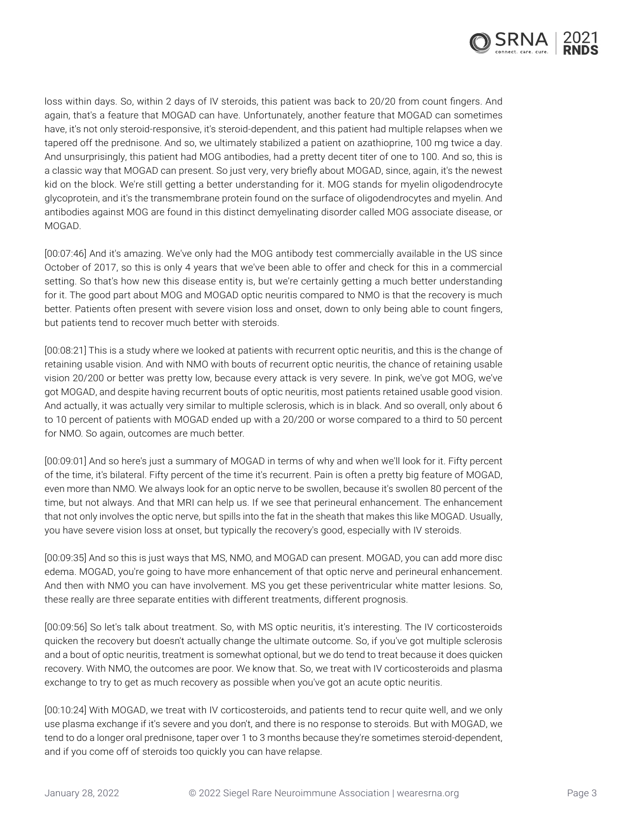

loss within days. So, within 2 days of IV steroids, this patient was back to 20/20 from count fingers. And again, that's a feature that MOGAD can have. Unfortunately, another feature that MOGAD can sometimes have, it's not only steroid-responsive, it's steroid-dependent, and this patient had multiple relapses when we tapered off the prednisone. And so, we ultimately stabilized a patient on azathioprine, 100 mg twice a day. And unsurprisingly, this patient had MOG antibodies, had a pretty decent titer of one to 100. And so, this is a classic way that MOGAD can present. So just very, very briefly about MOGAD, since, again, it's the newest kid on the block. We're still getting a better understanding for it. MOG stands for myelin oligodendrocyte glycoprotein, and it's the transmembrane protein found on the surface of oligodendrocytes and myelin. And antibodies against MOG are found in this distinct demyelinating disorder called MOG associate disease, or MOGAD.

[00:07:46] And it's amazing. We've only had the MOG antibody test commercially available in the US since October of 2017, so this is only 4 years that we've been able to offer and check for this in a commercial setting. So that's how new this disease entity is, but we're certainly getting a much better understanding for it. The good part about MOG and MOGAD optic neuritis compared to NMO is that the recovery is much better. Patients often present with severe vision loss and onset, down to only being able to count fingers, but patients tend to recover much better with steroids.

[00:08:21] This is a study where we looked at patients with recurrent optic neuritis, and this is the change of retaining usable vision. And with NMO with bouts of recurrent optic neuritis, the chance of retaining usable vision 20/200 or better was pretty low, because every attack is very severe. In pink, we've got MOG, we've got MOGAD, and despite having recurrent bouts of optic neuritis, most patients retained usable good vision. And actually, it was actually very similar to multiple sclerosis, which is in black. And so overall, only about 6 to 10 percent of patients with MOGAD ended up with a 20/200 or worse compared to a third to 50 percent for NMO. So again, outcomes are much better.

[00:09:01] And so here's just a summary of MOGAD in terms of why and when we'll look for it. Fifty percent of the time, it's bilateral. Fifty percent of the time it's recurrent. Pain is often a pretty big feature of MOGAD, even more than NMO. We always look for an optic nerve to be swollen, because it's swollen 80 percent of the time, but not always. And that MRI can help us. If we see that perineural enhancement. The enhancement that not only involves the optic nerve, but spills into the fat in the sheath that makes this like MOGAD. Usually, you have severe vision loss at onset, but typically the recovery's good, especially with IV steroids.

[00:09:35] And so this is just ways that MS, NMO, and MOGAD can present. MOGAD, you can add more disc edema. MOGAD, you're going to have more enhancement of that optic nerve and perineural enhancement. And then with NMO you can have involvement. MS you get these periventricular white matter lesions. So, these really are three separate entities with different treatments, different prognosis.

[00:09:56] So let's talk about treatment. So, with MS optic neuritis, it's interesting. The IV corticosteroids quicken the recovery but doesn't actually change the ultimate outcome. So, if you've got multiple sclerosis and a bout of optic neuritis, treatment is somewhat optional, but we do tend to treat because it does quicken recovery. With NMO, the outcomes are poor. We know that. So, we treat with IV corticosteroids and plasma exchange to try to get as much recovery as possible when you've got an acute optic neuritis.

[00:10:24] With MOGAD, we treat with IV corticosteroids, and patients tend to recur quite well, and we only use plasma exchange if it's severe and you don't, and there is no response to steroids. But with MOGAD, we tend to do a longer oral prednisone, taper over 1 to 3 months because they're sometimes steroid-dependent, and if you come off of steroids too quickly you can have relapse.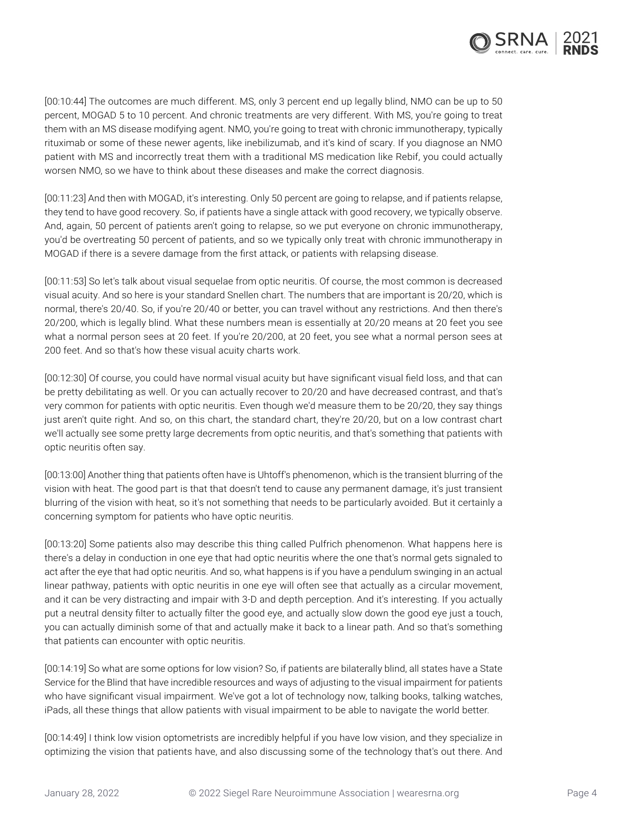

[00:10:44] The outcomes are much different. MS, only 3 percent end up legally blind, NMO can be up to 50 percent, MOGAD 5 to 10 percent. And chronic treatments are very different. With MS, you're going to treat them with an MS disease modifying agent. NMO, you're going to treat with chronic immunotherapy, typically rituximab or some of these newer agents, like inebilizumab, and it's kind of scary. If you diagnose an NMO patient with MS and incorrectly treat them with a traditional MS medication like Rebif, you could actually worsen NMO, so we have to think about these diseases and make the correct diagnosis.

[00:11:23] And then with MOGAD, it's interesting. Only 50 percent are going to relapse, and if patients relapse, they tend to have good recovery. So, if patients have a single attack with good recovery, we typically observe. And, again, 50 percent of patients aren't going to relapse, so we put everyone on chronic immunotherapy, you'd be overtreating 50 percent of patients, and so we typically only treat with chronic immunotherapy in MOGAD if there is a severe damage from the first attack, or patients with relapsing disease.

[00:11:53] So let's talk about visual sequelae from optic neuritis. Of course, the most common is decreased visual acuity. And so here is your standard Snellen chart. The numbers that are important is 20/20, which is normal, there's 20/40. So, if you're 20/40 or better, you can travel without any restrictions. And then there's 20/200, which is legally blind. What these numbers mean is essentially at 20/20 means at 20 feet you see what a normal person sees at 20 feet. If you're 20/200, at 20 feet, you see what a normal person sees at 200 feet. And so that's how these visual acuity charts work.

[00:12:30] Of course, you could have normal visual acuity but have significant visual field loss, and that can be pretty debilitating as well. Or you can actually recover to 20/20 and have decreased contrast, and that's very common for patients with optic neuritis. Even though we'd measure them to be 20/20, they say things just aren't quite right. And so, on this chart, the standard chart, they're 20/20, but on a low contrast chart we'll actually see some pretty large decrements from optic neuritis, and that's something that patients with optic neuritis often say.

[00:13:00] Another thing that patients often have is Uhtoff's phenomenon, which is the transient blurring of the vision with heat. The good part is that that doesn't tend to cause any permanent damage, it's just transient blurring of the vision with heat, so it's not something that needs to be particularly avoided. But it certainly a concerning symptom for patients who have optic neuritis.

[00:13:20] Some patients also may describe this thing called Pulfrich phenomenon. What happens here is there's a delay in conduction in one eye that had optic neuritis where the one that's normal gets signaled to act after the eye that had optic neuritis. And so, what happens is if you have a pendulum swinging in an actual linear pathway, patients with optic neuritis in one eye will often see that actually as a circular movement, and it can be very distracting and impair with 3-D and depth perception. And it's interesting. If you actually put a neutral density filter to actually filter the good eye, and actually slow down the good eye just a touch, you can actually diminish some of that and actually make it back to a linear path. And so that's something that patients can encounter with optic neuritis.

[00:14:19] So what are some options for low vision? So, if patients are bilaterally blind, all states have a State Service for the Blind that have incredible resources and ways of adjusting to the visual impairment for patients who have significant visual impairment. We've got a lot of technology now, talking books, talking watches, iPads, all these things that allow patients with visual impairment to be able to navigate the world better.

[00:14:49] I think low vision optometrists are incredibly helpful if you have low vision, and they specialize in optimizing the vision that patients have, and also discussing some of the technology that's out there. And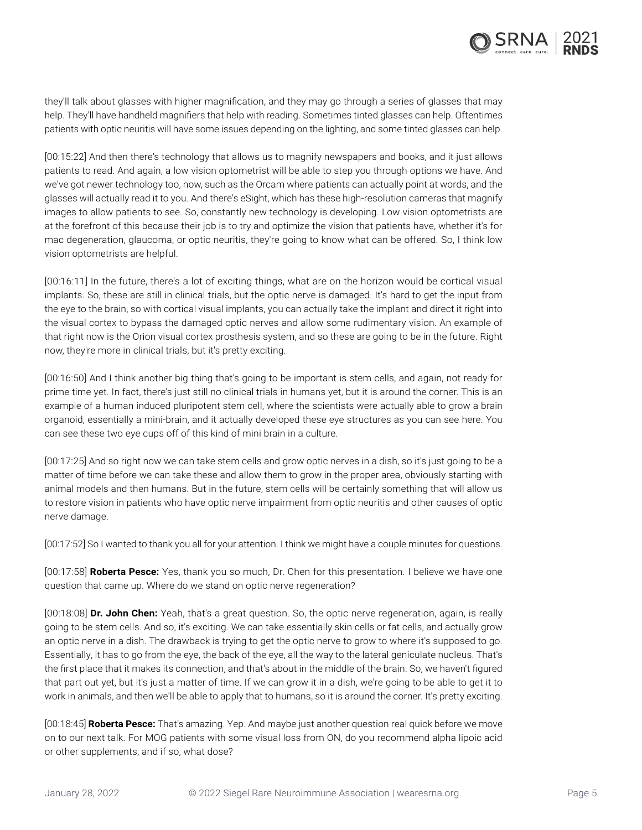

they'll talk about glasses with higher magnification, and they may go through a series of glasses that may help. They'll have handheld magnifiers that help with reading. Sometimes tinted glasses can help. Oftentimes patients with optic neuritis will have some issues depending on the lighting, and some tinted glasses can help.

[00:15:22] And then there's technology that allows us to magnify newspapers and books, and it just allows patients to read. And again, a low vision optometrist will be able to step you through options we have. And we've got newer technology too, now, such as the Orcam where patients can actually point at words, and the glasses will actually read it to you. And there's eSight, which has these high-resolution cameras that magnify images to allow patients to see. So, constantly new technology is developing. Low vision optometrists are at the forefront of this because their job is to try and optimize the vision that patients have, whether it's for mac degeneration, glaucoma, or optic neuritis, they're going to know what can be offered. So, I think low vision optometrists are helpful.

[00:16:11] In the future, there's a lot of exciting things, what are on the horizon would be cortical visual implants. So, these are still in clinical trials, but the optic nerve is damaged. It's hard to get the input from the eye to the brain, so with cortical visual implants, you can actually take the implant and direct it right into the visual cortex to bypass the damaged optic nerves and allow some rudimentary vision. An example of that right now is the Orion visual cortex prosthesis system, and so these are going to be in the future. Right now, they're more in clinical trials, but it's pretty exciting.

[00:16:50] And I think another big thing that's going to be important is stem cells, and again, not ready for prime time yet. In fact, there's just still no clinical trials in humans yet, but it is around the corner. This is an example of a human induced pluripotent stem cell, where the scientists were actually able to grow a brain organoid, essentially a mini-brain, and it actually developed these eye structures as you can see here. You can see these two eye cups off of this kind of mini brain in a culture.

[00:17:25] And so right now we can take stem cells and grow optic nerves in a dish, so it's just going to be a matter of time before we can take these and allow them to grow in the proper area, obviously starting with animal models and then humans. But in the future, stem cells will be certainly something that will allow us to restore vision in patients who have optic nerve impairment from optic neuritis and other causes of optic nerve damage.

[00:17:52] So I wanted to thank you all for your attention. I think we might have a couple minutes for questions.

[00:17:58] **Roberta Pesce:** Yes, thank you so much, Dr. Chen for this presentation. I believe we have one question that came up. Where do we stand on optic nerve regeneration?

[00:18:08] **Dr. John Chen:** Yeah, that's a great question. So, the optic nerve regeneration, again, is really going to be stem cells. And so, it's exciting. We can take essentially skin cells or fat cells, and actually grow an optic nerve in a dish. The drawback is trying to get the optic nerve to grow to where it's supposed to go. Essentially, it has to go from the eye, the back of the eye, all the way to the lateral geniculate nucleus. That's the first place that it makes its connection, and that's about in the middle of the brain. So, we haven't figured that part out yet, but it's just a matter of time. If we can grow it in a dish, we're going to be able to get it to work in animals, and then we'll be able to apply that to humans, so it is around the corner. It's pretty exciting.

[00:18:45] **Roberta Pesce:** That's amazing. Yep. And maybe just another question real quick before we move on to our next talk. For MOG patients with some visual loss from ON, do you recommend alpha lipoic acid or other supplements, and if so, what dose?